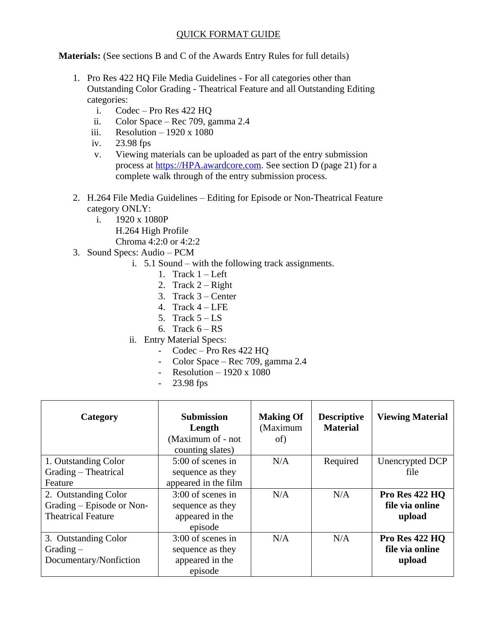## QUICK FORMAT GUIDE

**Materials:** (See sections B and C of the Awards Entry Rules for full details)

- 1. Pro Res 422 HQ File Media Guidelines For all categories other than Outstanding Color Grading - Theatrical Feature and all Outstanding Editing categories:
	- i. Codec Pro Res 422 HQ
	- ii. Color Space Rec 709, gamma 2.4
	- iii. Resolution  $-1920 \times 1080$
	- iv. 23.98 fps
	- v. Viewing materials can be uploaded as part of the entry submission process at [https://HPA.awardcore.com.](https://hpaawards.sohonet.com/) See section D (page 21) for a complete walk through of the entry submission process.
- 2. H.264 File Media Guidelines Editing for Episode or Non-Theatrical Feature category ONLY:
	- i. 1920 x 1080P
		- H.264 High Profile Chroma 4:2:0 or 4:2:2
- 3. Sound Specs: Audio PCM
	- i. 5.1 Sound with the following track assignments.
		- 1. Track  $1 Left$
		- 2. Track  $2 -$ Right
		- 3. Track 3 Center
		- 4. Track  $4 LFE$
		- 5. Track  $5 LS$
		- 6. Track  $6 RS$
	- ii. Entry Material Specs:
		- Codec Pro Res 422 HQ
		- Color Space Rec 709, gamma 2.4
		- Resolution  $-1920 \times 1080$
		- 23.98 fps

| Category                  | <b>Submission</b><br>Length<br>(Maximum of - not<br>counting slates) | <b>Making Of</b><br>(Maximum<br>of) | <b>Descriptive</b><br><b>Material</b> | <b>Viewing Material</b> |
|---------------------------|----------------------------------------------------------------------|-------------------------------------|---------------------------------------|-------------------------|
| 1. Outstanding Color      | 5:00 of scenes in                                                    | N/A                                 | Required                              | Unencrypted DCP         |
| Grading - Theatrical      | sequence as they                                                     |                                     |                                       | file                    |
| Feature                   | appeared in the film                                                 |                                     |                                       |                         |
| 2. Outstanding Color      | $3:00$ of scenes in                                                  | N/A                                 | N/A                                   | <b>Pro Res 422 HQ</b>   |
| Grading – Episode or Non- | sequence as they                                                     |                                     |                                       | file via online         |
| <b>Theatrical Feature</b> | appeared in the                                                      |                                     |                                       | upload                  |
|                           | episode                                                              |                                     |                                       |                         |
| 3. Outstanding Color      | $3:00$ of scenes in                                                  | N/A                                 | N/A                                   | Pro Res 422 HQ          |
| $Grading -$               | sequence as they                                                     |                                     |                                       | file via online         |
| Documentary/Nonfiction    | appeared in the                                                      |                                     |                                       | upload                  |
|                           | episode                                                              |                                     |                                       |                         |